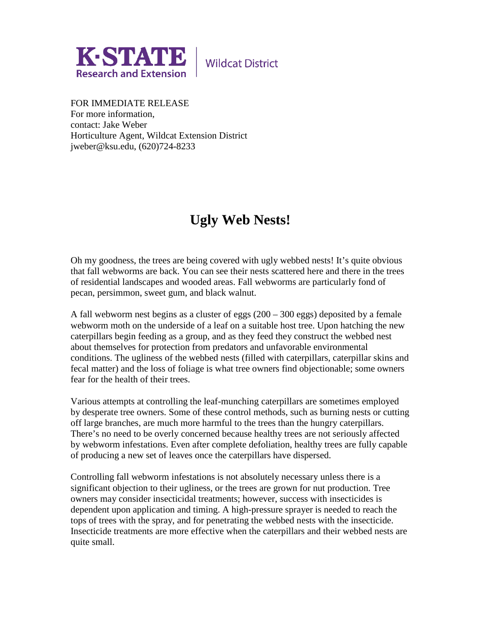

**Wildcat District** 

FOR IMMEDIATE RELEASE For more information, contact: Jake Weber Horticulture Agent, Wildcat Extension District jweber@ksu.edu, (620)724-8233

## **Ugly Web Nests!**

Oh my goodness, the trees are being covered with ugly webbed nests! It's quite obvious that fall webworms are back. You can see their nests scattered here and there in the trees of residential landscapes and wooded areas. Fall webworms are particularly fond of pecan, persimmon, sweet gum, and black walnut.

A fall webworm nest begins as a cluster of eggs (200 – 300 eggs) deposited by a female webworm moth on the underside of a leaf on a suitable host tree. Upon hatching the new caterpillars begin feeding as a group, and as they feed they construct the webbed nest about themselves for protection from predators and unfavorable environmental conditions. The ugliness of the webbed nests (filled with caterpillars, caterpillar skins and fecal matter) and the loss of foliage is what tree owners find objectionable; some owners fear for the health of their trees.

Various attempts at controlling the leaf-munching caterpillars are sometimes employed by desperate tree owners. Some of these control methods, such as burning nests or cutting off large branches, are much more harmful to the trees than the hungry caterpillars. There's no need to be overly concerned because healthy trees are not seriously affected by webworm infestations. Even after complete defoliation, healthy trees are fully capable of producing a new set of leaves once the caterpillars have dispersed.

Controlling fall webworm infestations is not absolutely necessary unless there is a significant objection to their ugliness, or the trees are grown for nut production. Tree owners may consider insecticidal treatments; however, success with insecticides is dependent upon application and timing. A high-pressure sprayer is needed to reach the tops of trees with the spray, and for penetrating the webbed nests with the insecticide. Insecticide treatments are more effective when the caterpillars and their webbed nests are quite small.